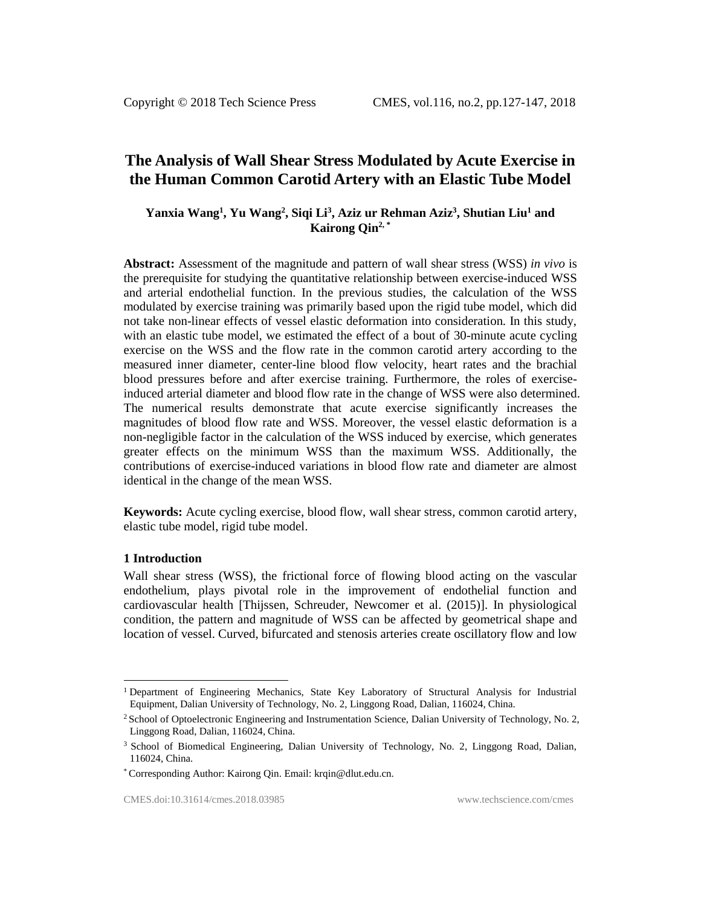# **The Analysis of Wall Shear Stress Modulated by Acute Exercise in the Human Common Carotid Artery with an Elastic Tube Model**

# **Yanxia Wang<sup>1</sup> , Yu Wang<sup>2</sup> , Siqi Li<sup>3</sup> , Aziz ur Rehman Aziz<sup>3</sup> , Shutian Liu<sup>1</sup> and Kairong Qin2, \***

**Abstract:** Assessment of the magnitude and pattern of wall shear stress (WSS) *in vivo* is the prerequisite for studying the quantitative relationship between exercise-induced WSS and arterial endothelial function. In the previous studies, the calculation of the WSS modulated by exercise training was primarily based upon the rigid tube model, which did not take non-linear effects of vessel elastic deformation into consideration. In this study, with an elastic tube model, we estimated the effect of a bout of 30-minute acute cycling exercise on the WSS and the flow rate in the common carotid artery according to the measured inner diameter, center-line blood flow velocity, heart rates and the brachial blood pressures before and after exercise training. Furthermore, the roles of exerciseinduced arterial diameter and blood flow rate in the change of WSS were also determined. The numerical results demonstrate that acute exercise significantly increases the magnitudes of blood flow rate and WSS. Moreover, the vessel elastic deformation is a non-negligible factor in the calculation of the WSS induced by exercise, which generates greater effects on the minimum WSS than the maximum WSS. Additionally, the contributions of exercise-induced variations in blood flow rate and diameter are almost identical in the change of the mean WSS.

**Keywords:** Acute cycling exercise, blood flow, wall shear stress, common carotid artery, elastic tube model, rigid tube model.

#### **1 Introduction**

l

Wall shear stress (WSS), the frictional force of flowing blood acting on the vascular endothelium, plays pivotal role in the improvement of endothelial function and cardiovascular health [Thijssen, Schreuder, Newcomer et al. (2015)]. In physiological condition, the pattern and magnitude of WSS can be affected by geometrical shape and location of vessel. Curved, bifurcated and stenosis arteries create oscillatory flow and low

<sup>1</sup> Department of Engineering Mechanics, State Key Laboratory of Structural Analysis for Industrial Equipment, Dalian University of Technology, No. 2, Linggong Road, Dalian, 116024, China.

<sup>&</sup>lt;sup>2</sup> School of Optoelectronic Engineering and Instrumentation Science, Dalian University of Technology, No. 2, Linggong Road, Dalian, 116024, China.

<sup>&</sup>lt;sup>3</sup> School of Biomedical Engineering, Dalian University of Technology, No. 2, Linggong Road, Dalian, 116024, China.

<sup>\*</sup> Corresponding Author: Kairong Qin. Email: krqin@dlut.edu.cn.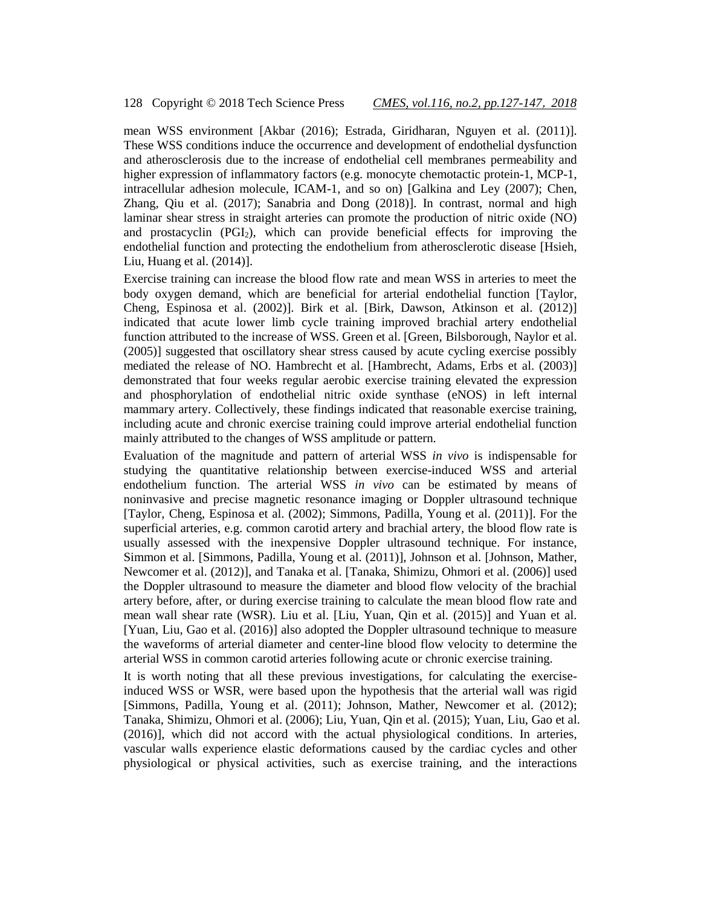mean WSS environment [Akbar (2016); Estrada, Giridharan, Nguyen et al. (2011)]. These WSS conditions induce the occurrence and development of endothelial dysfunction and atherosclerosis due to the increase of endothelial cell membranes permeability and higher expression of inflammatory factors (e.g. monocyte chemotactic protein-1, MCP-1, intracellular adhesion molecule, ICAM-1, and so on) [Galkina and Ley (2007); Chen, Zhang, Qiu et al. (2017); Sanabria and Dong (2018)]. In contrast, normal and high laminar shear stress in straight arteries can promote the production of nitric oxide (NO) and prostacyclin (PGI2), which can provide beneficial effects for improving the endothelial function and protecting the endothelium from atherosclerotic disease [Hsieh, Liu, Huang et al. (2014)].

Exercise training can increase the blood flow rate and mean WSS in arteries to meet the body oxygen demand, which are beneficial for arterial endothelial function [Taylor, Cheng, Espinosa et al. (2002)]. Birk et al. [Birk, Dawson, Atkinson et al. (2012)] indicated that acute lower limb cycle training improved brachial artery endothelial function attributed to the increase of WSS. Green et al. [Green, Bilsborough, Naylor et al. (2005)] suggested that oscillatory shear stress caused by acute cycling exercise possibly mediated the release of NO. Hambrecht et al. [Hambrecht, Adams, Erbs et al. (2003)] demonstrated that four weeks regular aerobic exercise training elevated the expression and phosphorylation of endothelial nitric oxide synthase (eNOS) in left internal mammary artery. Collectively, these findings indicated that reasonable exercise training, including acute and chronic exercise training could improve arterial endothelial function mainly attributed to the changes of WSS amplitude or pattern.

Evaluation of the magnitude and pattern of arterial WSS *in vivo* is indispensable for studying the quantitative relationship between exercise-induced WSS and arterial endothelium function. The arterial WSS *in vivo* can be estimated by means of noninvasive and precise magnetic resonance imaging or Doppler ultrasound technique [Taylor, Cheng, Espinosa et al. (2002); Simmons, Padilla, Young et al. (2011)]. For the superficial arteries, e.g. common carotid artery and brachial artery, the blood flow rate is usually assessed with the inexpensive Doppler ultrasound technique. For instance, Simmon et al. [Simmons, Padilla, Young et al. (2011)], Johnson et al. [Johnson, Mather, Newcomer et al. (2012)], and Tanaka et al. [Tanaka, Shimizu, Ohmori et al. (2006)] used the Doppler ultrasound to measure the diameter and blood flow velocity of the brachial artery before, after, or during exercise training to calculate the mean blood flow rate and mean wall shear rate (WSR). Liu et al. [Liu, Yuan, Qin et al. (2015)] and Yuan et al. [Yuan, Liu, Gao et al. (2016)] also adopted the Doppler ultrasound technique to measure the waveforms of arterial diameter and center-line blood flow velocity to determine the arterial WSS in common carotid arteries following acute or chronic exercise training.

It is worth noting that all these previous investigations, for calculating the exerciseinduced WSS or WSR, were based upon the hypothesis that the arterial wall was rigid [Simmons, Padilla, Young et al. (2011); Johnson, Mather, Newcomer et al. (2012); Tanaka, Shimizu, Ohmori et al. (2006); Liu, Yuan, Qin et al. (2015); Yuan, Liu, Gao et al. (2016)], which did not accord with the actual physiological conditions. In arteries, vascular walls experience elastic deformations caused by the cardiac cycles and other physiological or physical activities, such as exercise training, and the interactions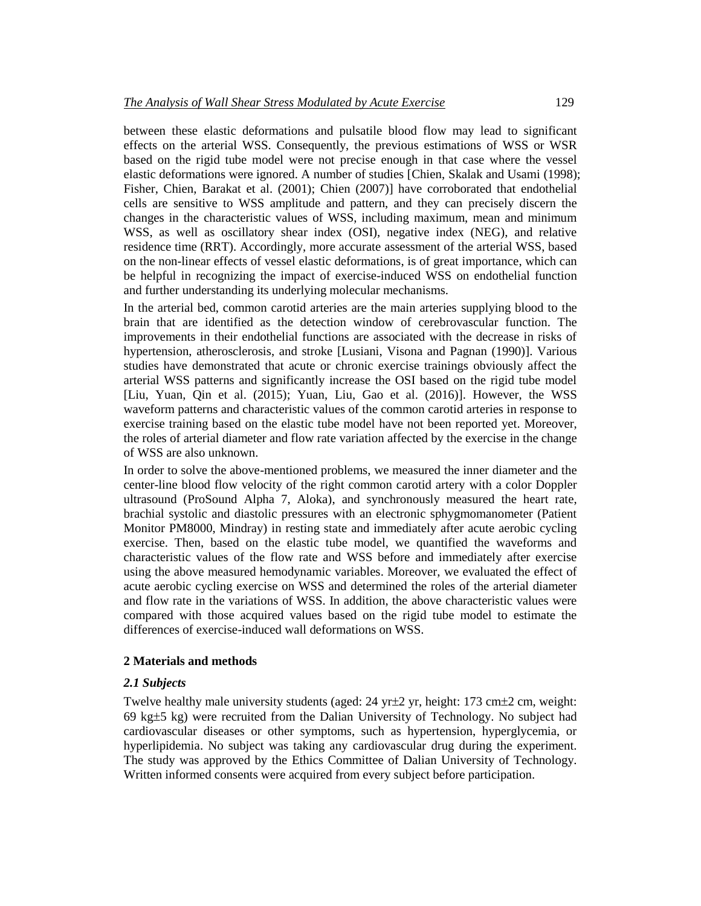between these elastic deformations and pulsatile blood flow may lead to significant effects on the arterial WSS. Consequently, the previous estimations of WSS or WSR based on the rigid tube model were not precise enough in that case where the vessel elastic deformations were ignored. A number of studies [Chien, Skalak and Usami (1998); Fisher, Chien, Barakat et al. (2001); Chien (2007)] have corroborated that endothelial cells are sensitive to WSS amplitude and pattern, and they can precisely discern the changes in the characteristic values of WSS, including maximum, mean and minimum WSS, as well as oscillatory shear index (OSI), negative index (NEG), and relative residence time (RRT). Accordingly, more accurate assessment of the arterial WSS, based on the non-linear effects of vessel elastic deformations, is of great importance, which can be helpful in recognizing the impact of exercise-induced WSS on endothelial function and further understanding its underlying molecular mechanisms.

In the arterial bed, common carotid arteries are the main arteries supplying blood to the brain that are identified as the detection window of cerebrovascular function. The improvements in their endothelial functions are associated with the decrease in risks of hypertension, atherosclerosis, and stroke [Lusiani, Visona and Pagnan (1990)]. Various studies have demonstrated that acute or chronic exercise trainings obviously affect the arterial WSS patterns and significantly increase the OSI based on the rigid tube model [Liu, Yuan, Qin et al. (2015); Yuan, Liu, Gao et al. (2016)]. However, the WSS waveform patterns and characteristic values of the common carotid arteries in response to exercise training based on the elastic tube model have not been reported yet. Moreover, the roles of arterial diameter and flow rate variation affected by the exercise in the change of WSS are also unknown.

In order to solve the above-mentioned problems, we measured the inner diameter and the center-line blood flow velocity of the right common carotid artery with a color Doppler ultrasound (ProSound Alpha 7, Aloka), and synchronously measured the heart rate, brachial systolic and diastolic pressures with an electronic sphygmomanometer (Patient Monitor PM8000, Mindray) in resting state and immediately after acute aerobic cycling exercise. Then, based on the elastic tube model, we quantified the waveforms and characteristic values of the flow rate and WSS before and immediately after exercise using the above measured hemodynamic variables. Moreover, we evaluated the effect of acute aerobic cycling exercise on WSS and determined the roles of the arterial diameter and flow rate in the variations of WSS. In addition, the above characteristic values were compared with those acquired values based on the rigid tube model to estimate the differences of exercise-induced wall deformations on WSS.

# **2 Materials and methods**

# *2.1 Subjects*

Twelve healthy male university students (aged:  $24 \text{ yr} \pm 2 \text{ yr}$ , height: 173 cm $\pm 2 \text{ cm}$ , weight: 69 kg $\pm$ 5 kg) were recruited from the Dalian University of Technology. No subject had cardiovascular diseases or other symptoms, such as hypertension, hyperglycemia, or hyperlipidemia. No subject was taking any cardiovascular drug during the experiment. The study was approved by the Ethics Committee of Dalian University of Technology. Written informed consents were acquired from every subject before participation.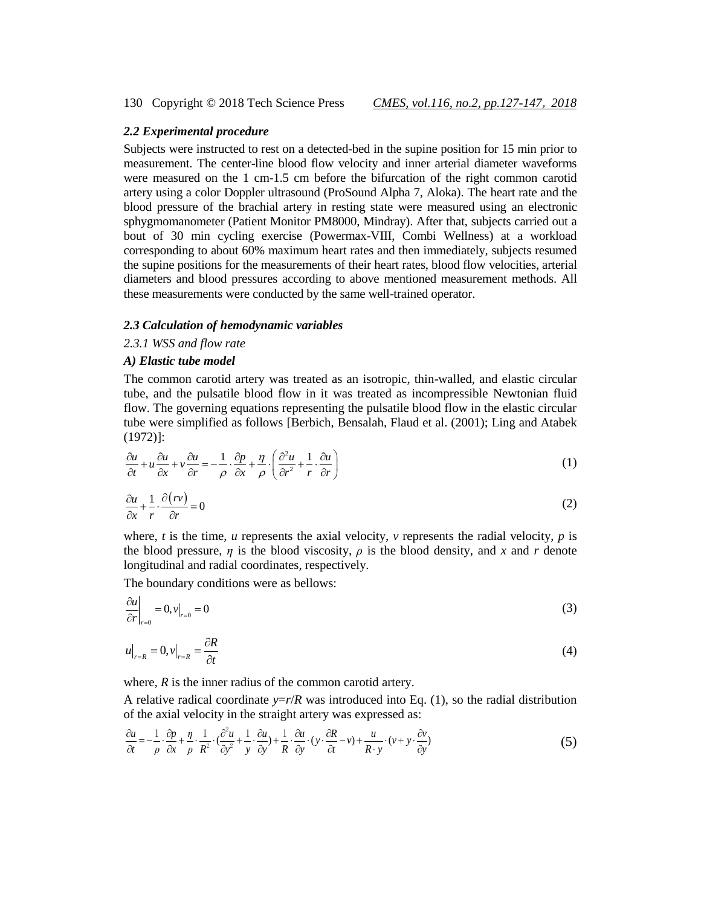### *2.2 Experimental procedure*

Subjects were instructed to rest on a detected-bed in the supine position for 15 min prior to measurement. The center-line blood flow velocity and inner arterial diameter waveforms were measured on the 1 cm-1.5 cm before the bifurcation of the right common carotid artery using a color Doppler ultrasound (ProSound Alpha 7, Aloka). The heart rate and the blood pressure of the brachial artery in resting state were measured using an electronic sphygmomanometer (Patient Monitor PM8000, Mindray). After that, subjects carried out a bout of 30 min cycling exercise (Powermax-VIII, Combi Wellness) at a workload corresponding to about 60% maximum heart rates and then immediately, subjects resumed the supine positions for the measurements of their heart rates, blood flow velocities, arterial diameters and blood pressures according to above mentioned measurement methods. All these measurements were conducted by the same well-trained operator.

#### *2.3 Calculation of hemodynamic variables*

*2.3.1 WSS and flow rate*

#### *A) Elastic tube model*

The common carotid artery was treated as an isotropic, thin-walled, and elastic circular tube, and the pulsatile blood flow in it was treated as incompressible Newtonian fluid flow. The governing equations representing the pulsatile blood flow in the elastic circular tube were simplified as follows [Berbich, Bensalah, Flaud et al. (2001); Ling and Atabek (1972)]:

$$
\frac{\partial u}{\partial t} + u \frac{\partial u}{\partial x} + v \frac{\partial u}{\partial r} = -\frac{1}{\rho} \cdot \frac{\partial p}{\partial x} + \frac{\eta}{\rho} \cdot \left( \frac{\partial^2 u}{\partial r^2} + \frac{1}{r} \cdot \frac{\partial u}{\partial r} \right)
$$
(1)

$$
\frac{\partial u}{\partial x} + \frac{1}{r} \cdot \frac{\partial (rv)}{\partial r} = 0
$$
 (2)

where,  $t$  is the time,  $u$  represents the axial velocity,  $v$  represents the radial velocity,  $p$  is the blood pressure,  $\eta$  is the blood viscosity,  $\rho$  is the blood density, and x and r denote longitudinal and radial coordinates, respectively.

The boundary conditions were as bellows:

$$
\left. \frac{\partial u}{\partial r} \right|_{r=0} = 0, v|_{r=0} = 0 \tag{3}
$$

$$
u\big|_{r=R} = 0, v\big|_{r=R} = \frac{\partial R}{\partial t} \tag{4}
$$

where, *R* is the inner radius of the common carotid artery.

A relative radical coordinate  $y=r/R$  was introduced into Eq. (1), so the radial distribution tive radical coordinate y=*i*<br>axial velocity in the straight<br> $\frac{1}{1} \cdot \frac{\partial p}{\partial t} + \frac{\eta}{1} \cdot \frac{1}{\partial t} \cdot \frac{\partial^2 u}{\partial t} + \frac{1}{1} \cdot \frac{\partial u}{\partial t} + \frac{1}{1} \cdot \frac{\partial u}{\partial t}$ 

A relative radical coordinate 
$$
y=r/R
$$
 was introduced into Eq. (1), so the radial distribution  
of the axial velocity in the straight artery was expressed as:  

$$
\frac{\partial u}{\partial t} = -\frac{1}{\rho} \cdot \frac{\partial p}{\partial x} + \frac{\eta}{\rho} \cdot \frac{1}{R^2} \cdot \left(\frac{\partial^2 u}{\partial y^2} + \frac{1}{y} \cdot \frac{\partial u}{\partial y}\right) + \frac{1}{R} \cdot \frac{\partial u}{\partial y} \cdot \left(y \cdot \frac{\partial R}{\partial t} - v\right) + \frac{u}{R \cdot y} \cdot \left(v + y \cdot \frac{\partial v}{\partial y}\right)
$$
(5)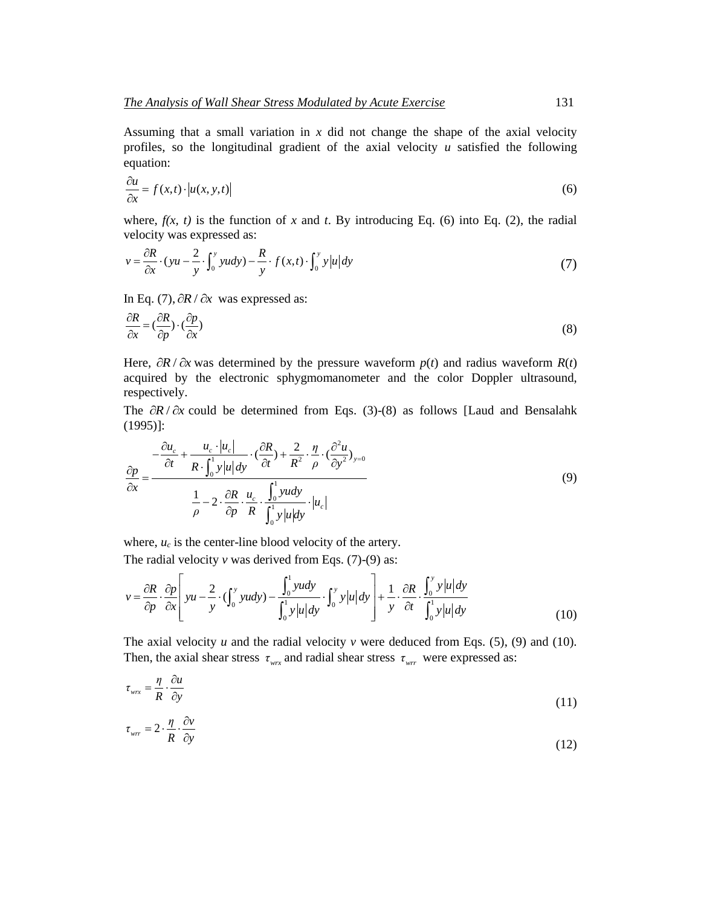Assuming that a small variation in *x* did not change the shape of the axial velocity profiles, so the longitudinal gradient of the axial velocity *u* satisfied the following equation:

$$
\frac{\partial u}{\partial x} = f(x, t) \cdot \left| u(x, y, t) \right| \tag{6}
$$

where,  $f(x, t)$  is the function of x and t. By introducing Eq. (6) into Eq. (2), the radial

velocity was expressed as:  
\n
$$
v = \frac{\partial R}{\partial x} \cdot (yu - \frac{2}{y} \cdot \int_0^y y \, dy) - \frac{R}{y} \cdot f(x, t) \cdot \int_0^y y \, |u| \, dy \tag{7}
$$

In Eq. (7),  $\partial R / \partial x$  was expressed as:

$$
\frac{\partial R}{\partial x} = \left(\frac{\partial R}{\partial p}\right) \cdot \left(\frac{\partial p}{\partial x}\right) \tag{8}
$$

Here,  $\partial R / \partial x$  was determined by the pressure waveform  $p(t)$  and radius waveform  $R(t)$ acquired by the electronic sphygmomanometer and the color Doppler ultrasound, respectively.

The  $\partial R / \partial x$  could be determined from Eqs. (3)-(8) as follows [Laud and Bensalahk (1995)]:

$$
(1995)]:
$$
\n
$$
\frac{\partial p}{\partial x} = \frac{-\frac{\partial u_c}{\partial t} + \frac{u_c \cdot |u_c|}{R \cdot \int_0^1 y |u| dy} \cdot (\frac{\partial R}{\partial t}) + \frac{2}{R^2} \cdot \frac{\eta}{\rho} \cdot (\frac{\partial^2 u}{\partial y^2})_{y=0}}{\frac{1}{\rho} - 2 \cdot \frac{\partial R}{\partial p} \cdot \frac{u_c}{R} \cdot \int_0^1 y |u| dy} \cdot |u_c|
$$
\n(9)

where,  $u_c$  is the center-line blood velocity of the artery.

where, 
$$
u_c
$$
 is the center-line blood velocity of the artery.  
\nThe radial velocity v was derived from Eqs. (7)-(9) as:  
\n
$$
v = \frac{\partial R}{\partial p} \cdot \frac{\partial p}{\partial x} \left[ yu - \frac{2}{y} \cdot (\int_0^y yu \,dy) - \frac{\int_0^1 yu \,dy}{\int_0^1 y|u| \,dy} \cdot \int_0^y y|u| \,dy \right] + \frac{1}{y} \cdot \frac{\partial R}{\partial t} \cdot \frac{\int_0^y y|u| \,dy}{\int_0^1 y|u| \,dy}
$$
\n(10)

The axial velocity  $u$  and the radial velocity  $v$  were deduced from Eqs. (5), (9) and (10). Then, the axial shear stress  $\tau_{wx}$  and radial shear stress  $\tau_{wr}$  were expressed as:

$$
\tau_{\text{wrx}} = \frac{\eta}{R} \cdot \frac{\partial u}{\partial y} \tag{11}
$$

$$
\tau_{\text{wrr}} = 2 \cdot \frac{\eta}{R} \cdot \frac{\partial v}{\partial y} \tag{12}
$$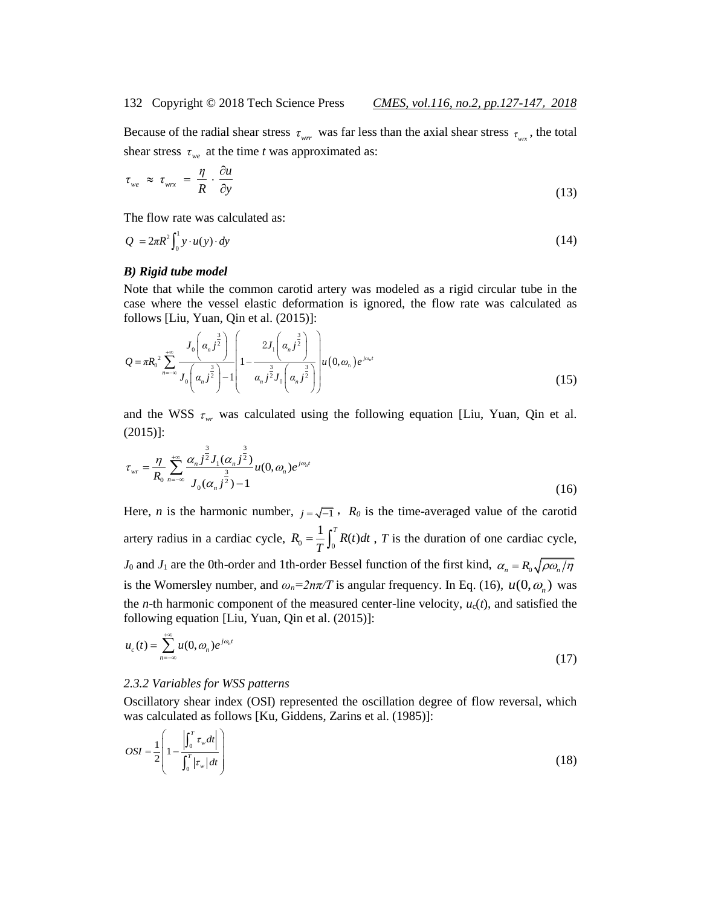Because of the radial shear stress  $\tau_{wrr}$  was far less than the axial shear stress  $\tau_{wrr}$ , the total shear stress  $\tau_{we}$  at the time *t* was approximated as:

$$
\tau_{we} \approx \tau_{wrx} = \frac{\eta}{R} \cdot \frac{\partial u}{\partial y} \tag{13}
$$

The flow rate was calculated as:

$$
Q = 2\pi R^2 \int_0^1 y \cdot u(y) \cdot dy \tag{14}
$$

#### *B) Rigid tube model*

Note that while the common carotid artery was modeled as a rigid circular tube in the case where the vessel elastic deformation is ignored, the flow rate was calculated as

follows [Liu, Yuan, Qin et al. (2015)]:  
\n
$$
Q = \pi R_0^2 \sum_{n=-\infty}^{+\infty} \frac{J_0\left(\alpha_n j^{\frac{3}{2}}\right)}{J_0\left(\alpha_n j^{\frac{3}{2}}\right) - 1} \left[1 - \frac{2J_1\left(\alpha_n j^{\frac{3}{2}}\right)}{\alpha_n j^{\frac{3}{2}} J_0\left(\alpha_n j^{\frac{3}{2}}\right)}\right] u(0, \omega_n) e^{j\omega_n t}
$$
\n(15)

and the WSS  $\tau_{wr}$  was calculated using the following equation [Liu, Yuan, Qin et al. (2015)]:

$$
\tau_{wr} = \frac{\eta}{R_0} \sum_{n=-\infty}^{+\infty} \frac{\alpha_n j^{\frac{3}{2}} J_1(\alpha_n j^{\frac{3}{2}})}{J_0(\alpha_n j^{\frac{3}{2}}) - 1} u(0, \omega_n) e^{j\omega_n t}
$$
(16)

Here, *n* is the harmonic number,  $j = \sqrt{-1}$ ,  $R_0$  is the time-averaged value of the carotid artery radius in a cardiac cycle,  $R_0 = \frac{1}{T} \int_0^T$  $R_0 = \frac{1}{\pi} \int_0^T R(t) dt$  $=\frac{1}{T}\int_0^T R(t)dt$ , *T* is the duration of one cardiac cycle, *J*<sub>0</sub> and *J*<sub>1</sub> are the 0th-order and 1th-order Bessel function of the first kind,  $\alpha_n = R_0 \sqrt{\rho \omega_n / \eta}$ is the Womersley number, and  $\omega_n = 2n\pi/T$  is angular frequency. In Eq. (16),  $u(0, \omega_n)$  was the *n*-th harmonic component of the measured center-line velocity,  $u_c(t)$ , and satisfied the following equation [Liu, Yuan, Qin et al. (2015)]:

$$
u_c(t) = \sum_{n=-\infty}^{+\infty} u(0, \omega_n) e^{j\omega_n t}
$$
 (17)

#### *2.3.2 Variables for WSS patterns*

Oscillatory shear index (OSI) represented the oscillation degree of flow reversal, which was calculated as follows [Ku, Giddens, Zarins et al. (1985)]:

$$
OSI = \frac{1}{2} \left( 1 - \frac{\left| \int_0^T \tau_w dt \right|}{\int_0^T \left| \tau_w \right| dt} \right) \tag{18}
$$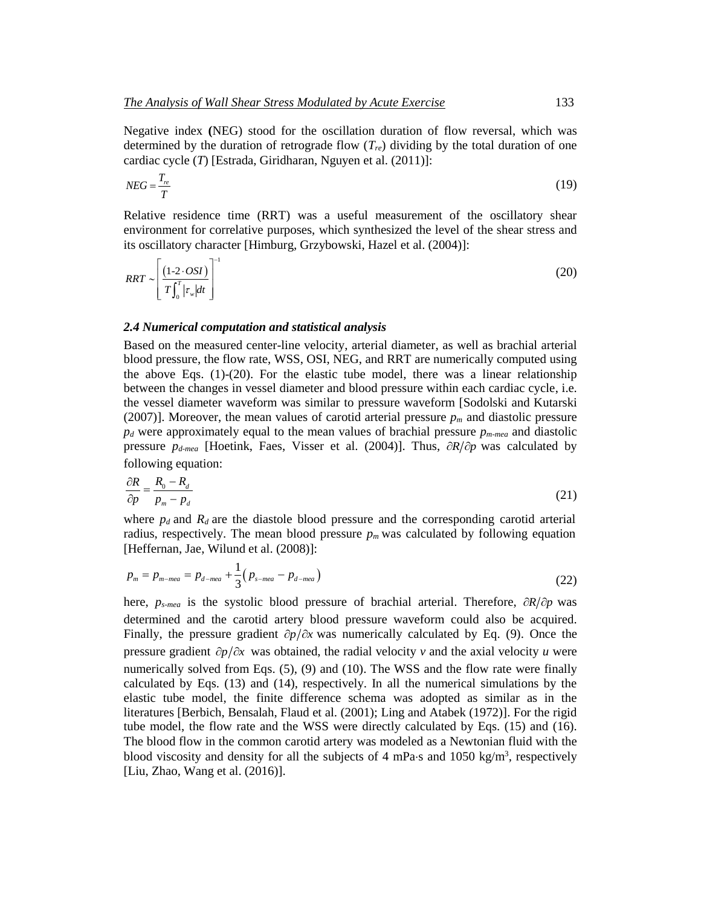Negative index **(**NEG) stood for the oscillation duration of flow reversal, which was determined by the duration of retrograde flow (*Tre*) dividing by the total duration of one cardiac cycle (*T*) [Estrada, Giridharan, Nguyen et al. (2011)]:

$$
NEG = \frac{T_{re}}{T}
$$
\n(19)

Relative residence time (RRT) was a useful measurement of the oscillatory shear environment for correlative purposes, which synthesized the level of the shear stress and its oscillatory character [Himburg, Grzybowski, Hazel et al. (2004)]:

$$
RRT \sim \left[\frac{(1-2\cdot OSI)}{T\int_0^T \left|\tau_w\right|dt}\right]^{-1} \tag{20}
$$

## *2.4 Numerical computation and statistical analysis*

Based on the measured center-line velocity, arterial diameter, as well as brachial arterial blood pressure, the flow rate, WSS, OSI, NEG, and RRT are numerically computed using the above Eqs. (1)-(20). For the elastic tube model, there was a linear relationship between the changes in vessel diameter and blood pressure within each cardiac cycle, i.e. the vessel diameter waveform was similar to pressure waveform [Sodolski and Kutarski (2007)]. Moreover, the mean values of carotid arterial pressure  $p<sub>m</sub>$  and diastolic pressure *p<sup>d</sup>* were approximately equal to the mean values of brachial pressure *pm-mea* and diastolic pressure  $p_{d \text{-}mean}$  [Hoetink, Faes, Visser et al. (2004)]. Thus,  $\partial R/\partial p$  was calculated by following equation:

$$
\frac{\partial R}{\partial p} = \frac{R_0 - R_d}{p_m - p_d} \tag{21}
$$

where  $p_d$  and  $R_d$  are the diastole blood pressure and the corresponding carotid arterial radius, respectively. The mean blood pressure  $p_m$  was calculated by following equation [Heffernan, Jae, Wilund et al. (2008)]:

$$
p_m = p_{m-mea} = p_{d-mea} + \frac{1}{3} (p_{s-mea} - p_{d-mea})
$$
 (22)

here,  $p_{s-mean}$  is the systolic blood pressure of brachial arterial. Therefore,  $\partial R/\partial p$  was determined and the carotid artery blood pressure waveform could also be acquired. Finally, the pressure gradient  $\partial p/\partial x$  was numerically calculated by Eq. (9). Once the pressure gradient  $\partial p/\partial x$  was obtained, the radial velocity *v* and the axial velocity *u* were numerically solved from Eqs. (5), (9) and (10). The WSS and the flow rate were finally calculated by Eqs. (13) and (14), respectively. In all the numerical simulations by the elastic tube model, the finite difference schema was adopted as similar as in the literatures [Berbich, Bensalah, Flaud et al. (2001); Ling and Atabek (1972)]. For the rigid tube model, the flow rate and the WSS were directly calculated by Eqs. (15) and (16). The blood flow in the common carotid artery was modeled as a Newtonian fluid with the blood viscosity and density for all the subjects of 4 mPa·s and 1050 kg/m<sup>3</sup>, respectively [Liu, Zhao, Wang et al. (2016)].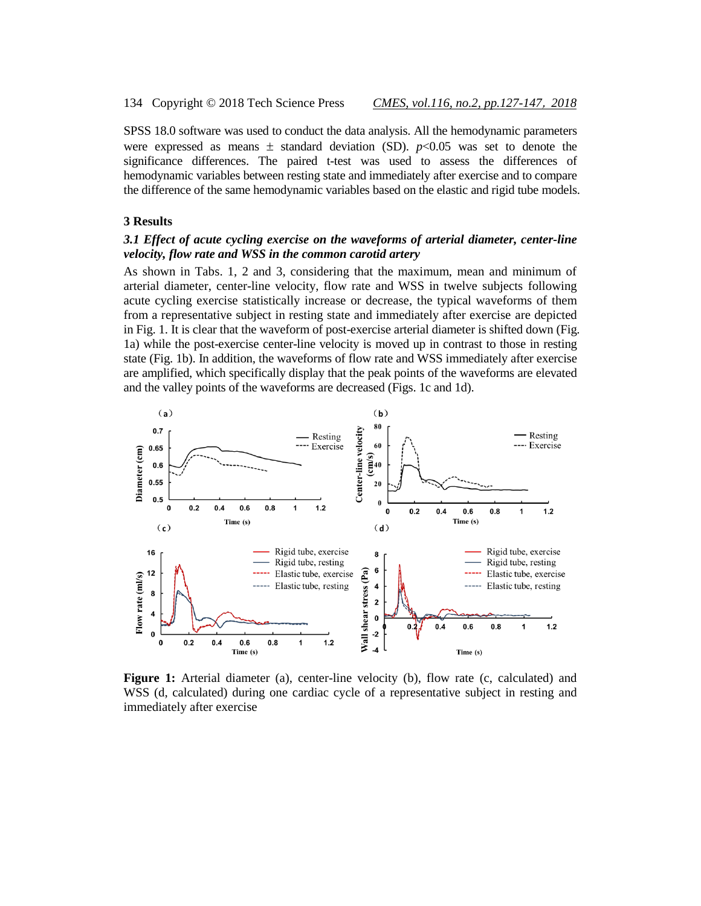SPSS 18.0 software was used to conduct the data analysis. All the hemodynamic parameters were expressed as means  $\pm$  standard deviation (SD).  $p<0.05$  was set to denote the significance differences. The paired t-test was used to assess the differences of hemodynamic variables between resting state and immediately after exercise and to compare the difference of the same hemodynamic variables based on the elastic and rigid tube models.

#### **3 Results**

# *3.1 Effect of acute cycling exercise on the waveforms of arterial diameter, center-line velocity, flow rate and WSS in the common carotid artery*

As shown in Tabs. 1, 2 and 3, considering that the maximum, mean and minimum of arterial diameter, center-line velocity, flow rate and WSS in twelve subjects following acute cycling exercise statistically increase or decrease, the typical waveforms of them from a representative subject in resting state and immediately after exercise are depicted in Fig. 1. It is clear that the waveform of post-exercise arterial diameter is shifted down (Fig. 1a) while the post-exercise center-line velocity is moved up in contrast to those in resting state (Fig. 1b). In addition, the waveforms of flow rate and WSS immediately after exercise are amplified, which specifically display that the peak points of the waveforms are elevated and the valley points of the waveforms are decreased (Figs. 1c and 1d).



**Figure 1:** Arterial diameter (a), center-line velocity (b), flow rate (c, calculated) and WSS (d, calculated) during one cardiac cycle of a representative subject in resting and immediately after exercise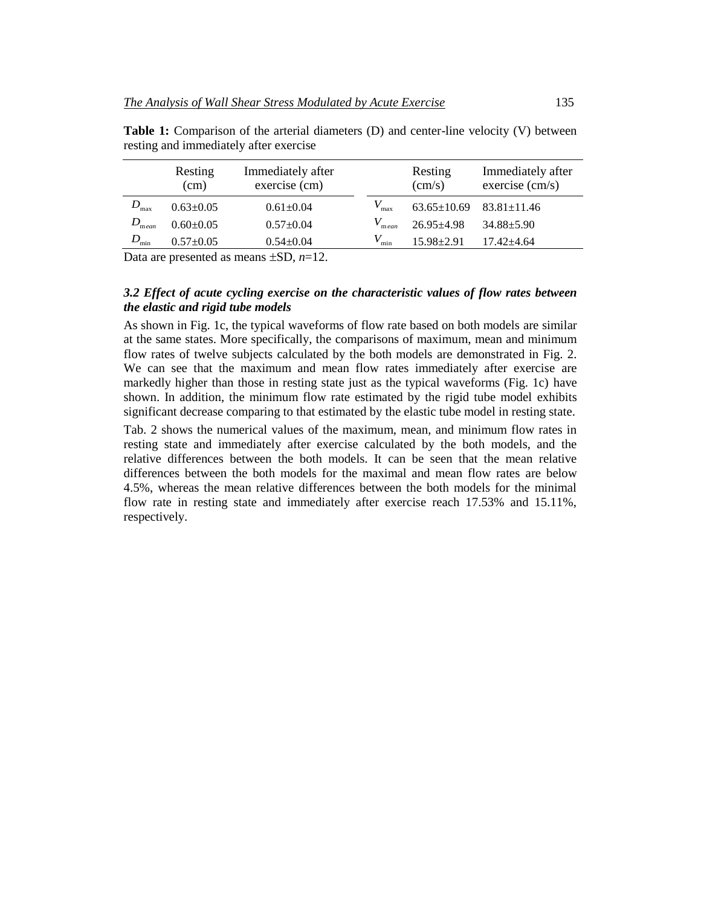|                   | Immediately after<br>Resting<br>exercise (cm)<br>(cm) |                 |                   | Resting<br>$\text{(cm/s)}$          | Immediately after<br>exercise (cm/s) |  |
|-------------------|-------------------------------------------------------|-----------------|-------------------|-------------------------------------|--------------------------------------|--|
| $D_{\max}$        | $0.63 \pm 0.05$                                       | $0.61 \pm 0.04$ |                   | $63.65 \pm 10.69$ $83.81 \pm 11.46$ |                                      |  |
| $D_{\text{mean}}$ | $0.60+0.05$                                           | $0.57+0.04$     | $V_{\text{mean}}$ | $26.95 \pm 4.98$                    | 34.88±5.90                           |  |
| $D_{\rm min}$     | $0.57 \pm 0.05$                                       | $0.54 \pm 0.04$ | $V_{\min}$        | $15.98 \pm 2.91$                    | $17.42 + 4.64$                       |  |

Table 1: Comparison of the arterial diameters (D) and center-line velocity (V) between resting and immediately after exercise

Data are presented as means  $\pm SD$ ,  $n=12$ .

# *3.2 Effect of acute cycling exercise on the characteristic values of flow rates between the elastic and rigid tube models*

As shown in Fig. 1c, the typical waveforms of flow rate based on both models are similar at the same states. More specifically, the comparisons of maximum, mean and minimum flow rates of twelve subjects calculated by the both models are demonstrated in Fig. 2. We can see that the maximum and mean flow rates immediately after exercise are markedly higher than those in resting state just as the typical waveforms (Fig. 1c) have shown. In addition, the minimum flow rate estimated by the rigid tube model exhibits significant decrease comparing to that estimated by the elastic tube model in resting state.

Tab. 2 shows the numerical values of the maximum, mean, and minimum flow rates in resting state and immediately after exercise calculated by the both models, and the relative differences between the both models. It can be seen that the mean relative differences between the both models for the maximal and mean flow rates are below 4.5%, whereas the mean relative differences between the both models for the minimal flow rate in resting state and immediately after exercise reach 17.53% and 15.11%, respectively.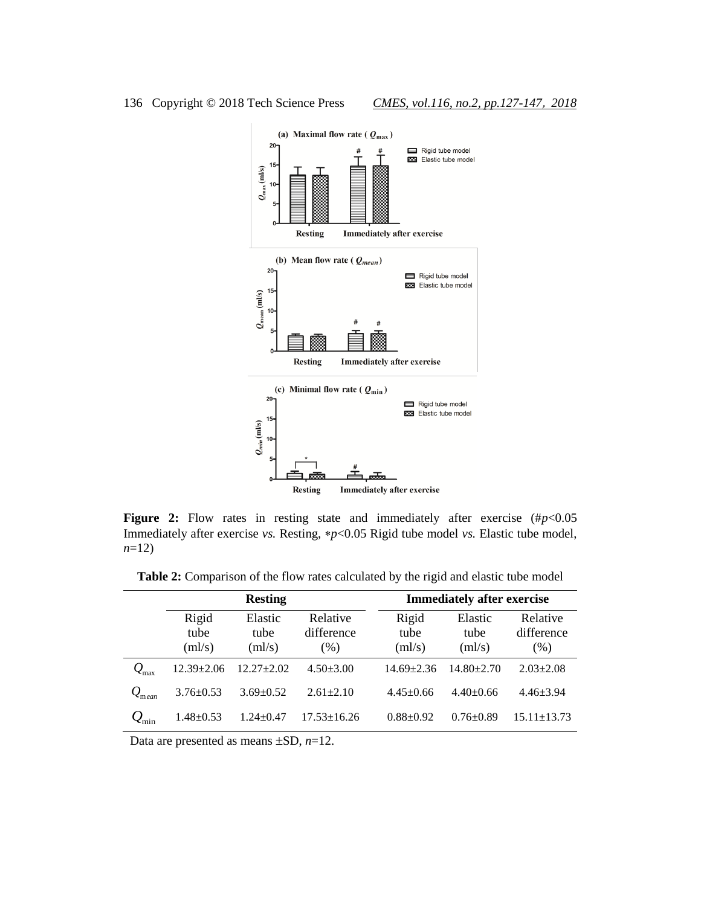

**Figure 2:** Flow rates in resting state and immediately after exercise (# $p$ <0.05 Immediately after exercise *vs.* Resting, \*p<0.05 Rigid tube model *vs.* Elastic tube model, *n*=12)

**Table 2:** Comparison of the flow rates calculated by the rigid and elastic tube model

|                             |                         | <b>Resting</b>            |                                | <b>Immediately after exercise</b> |                           |                                |  |
|-----------------------------|-------------------------|---------------------------|--------------------------------|-----------------------------------|---------------------------|--------------------------------|--|
|                             | Rigid<br>tube<br>(ml/s) | Elastic<br>tube<br>(ml/s) | Relative<br>difference<br>(% ) | Rigid<br>tube<br>(ml/s)           | Elastic<br>tube<br>(ml/s) | Relative<br>difference<br>(% ) |  |
| $\mathcal{Q}_\text{max}$    | $12.39 + 2.06$          | $12.27 \pm 2.02$          | $4.50 \pm 3.00$                | $14.69 \pm 2.36$                  | $14.80 \pm 2.70$          | $2.03 \pm 2.08$                |  |
| $\mathcal{Q}_{\text{mean}}$ | $3.76 \pm 0.53$         | $3.69 + 0.52$             | $2.61 \pm 2.10$                | $4.45+0.66$                       | $4.40\pm0.66$             | $4.46 \pm 3.94$                |  |
|                             | $1.48 \pm 0.53$         | $1.24 \pm 0.47$           | $17.53 \pm 16.26$              | $0.88 + 0.92$                     | $0.76 \pm 0.89$           | $15.11 \pm 13.73$              |  |

Data are presented as means  $\pm SD$ ,  $n=12$ .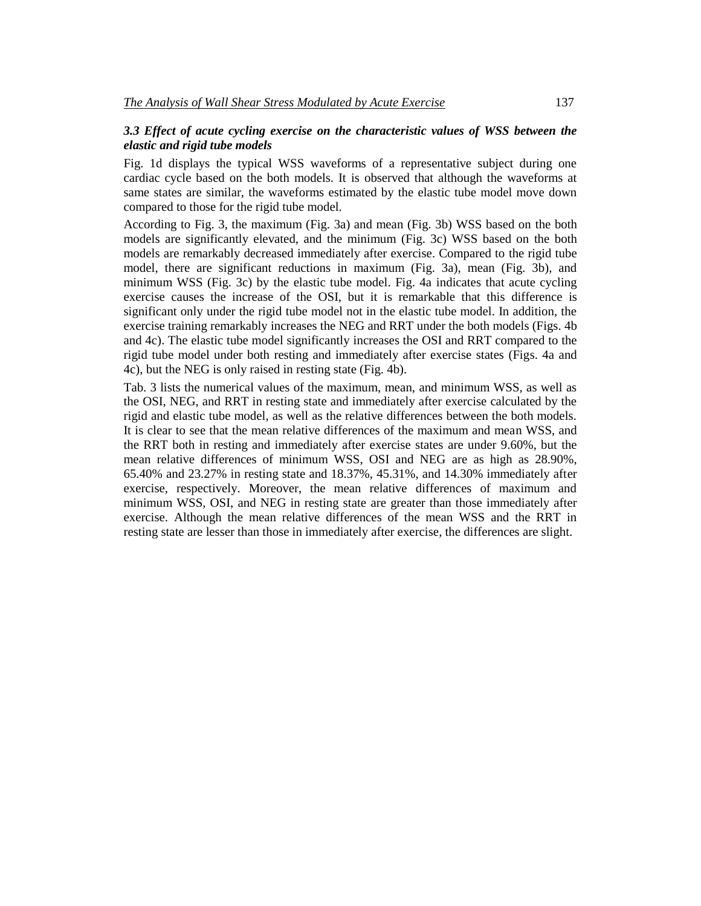# *3.3 Effect of acute cycling exercise on the characteristic values of WSS between the elastic and rigid tube models*

Fig. 1d displays the typical WSS waveforms of a representative subject during one cardiac cycle based on the both models. It is observed that although the waveforms at same states are similar, the waveforms estimated by the elastic tube model move down compared to those for the rigid tube model.

According to Fig. 3, the maximum (Fig. 3a) and mean (Fig. 3b) WSS based on the both models are significantly elevated, and the minimum (Fig. 3c) WSS based on the both models are remarkably decreased immediately after exercise. Compared to the rigid tube model, there are significant reductions in maximum (Fig. 3a), mean (Fig. 3b), and minimum WSS (Fig. 3c) by the elastic tube model. Fig. 4a indicates that acute cycling exercise causes the increase of the OSI, but it is remarkable that this difference is significant only under the rigid tube model not in the elastic tube model. In addition, the exercise training remarkably increases the NEG and RRT under the both models (Figs. 4b and 4c). The elastic tube model significantly increases the OSI and RRT compared to the rigid tube model under both resting and immediately after exercise states (Figs. 4a and 4c), but the NEG is only raised in resting state (Fig. 4b).

Tab. 3 lists the numerical values of the maximum, mean, and minimum WSS, as well as the OSI, NEG, and RRT in resting state and immediately after exercise calculated by the rigid and elastic tube model, as well as the relative differences between the both models. It is clear to see that the mean relative differences of the maximum and mean WSS, and the RRT both in resting and immediately after exercise states are under 9.60%, but the mean relative differences of minimum WSS, OSI and NEG are as high as 28.90%, 65.40% and 23.27% in resting state and 18.37%, 45.31%, and 14.30% immediately after exercise, respectively. Moreover, the mean relative differences of maximum and minimum WSS, OSI, and NEG in resting state are greater than those immediately after exercise. Although the mean relative differences of the mean WSS and the RRT in resting state are lesser than those in immediately after exercise, the differences are slight.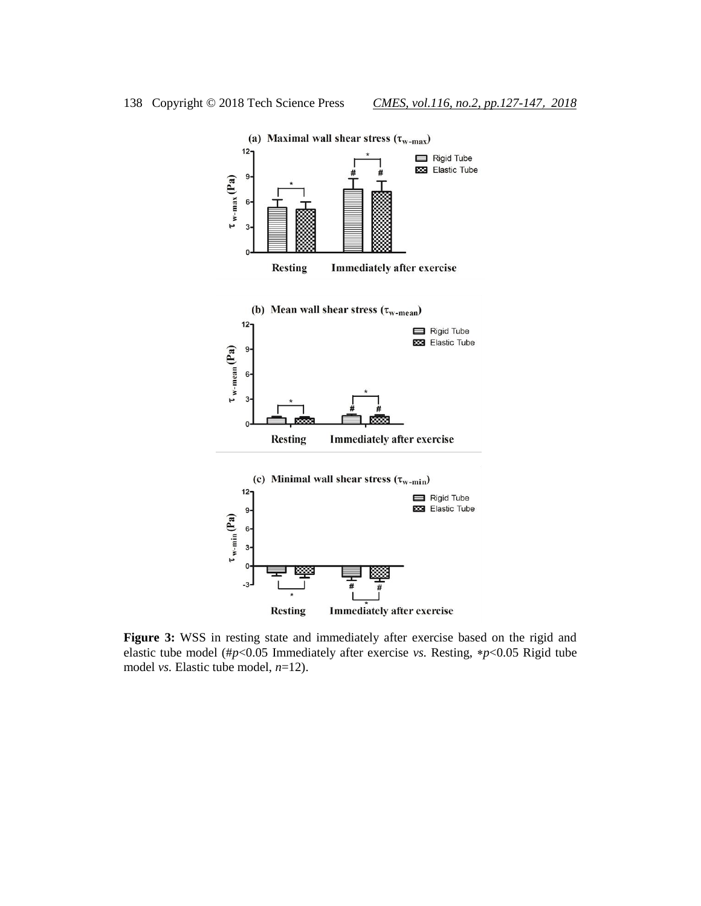

**Figure 3:** WSS in resting state and immediately after exercise based on the rigid and elastic tube model (#*p*<0.05 Immediately after exercise *vs.* Resting, *p*<0.05 Rigid tube model *vs.* Elastic tube model, *n*=12).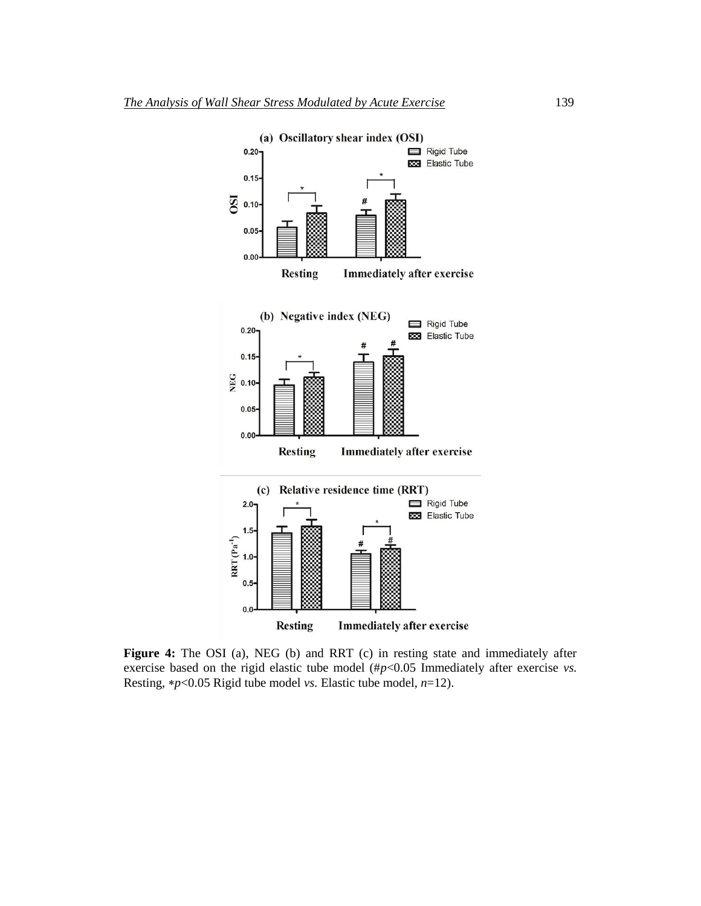

**Figure 4:** The OSI (a), NEG (b) and RRT (c) in resting state and immediately after exercise based on the rigid elastic tube model (#*p*<0.05 Immediately after exercise *vs.* Resting,  $\ast p < 0.05$  Rigid tube model *vs*. Elastic tube model,  $n=12$ ).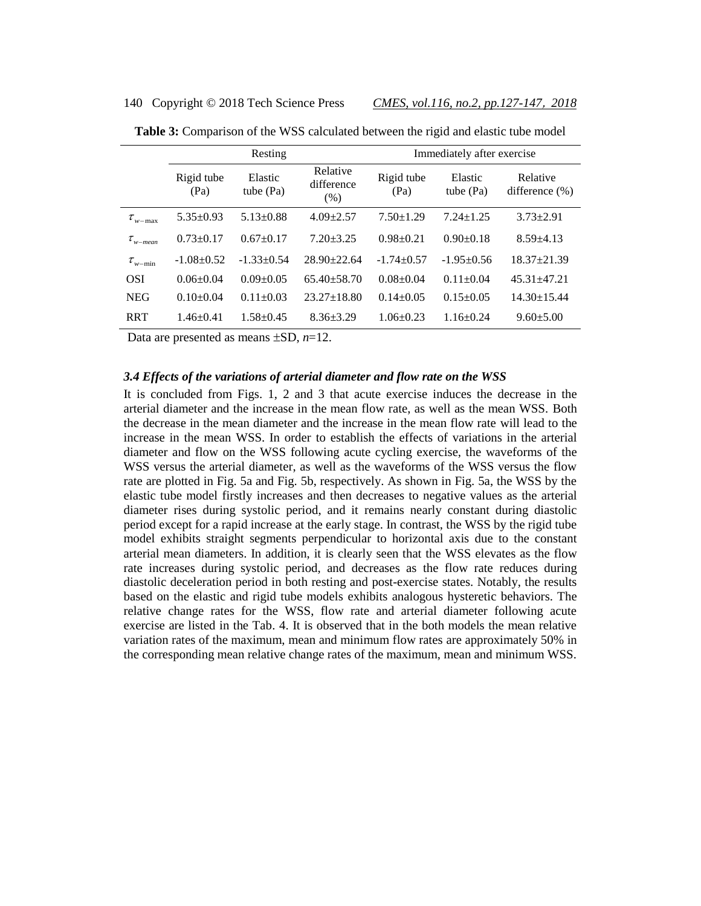#### 140 Copyright © 2018 Tech Science Press *CMES, vol.116, no.2, pp.127-147*, *2018*

|                       |                    | Resting                |                                | Immediately after exercise |                        |                                |  |
|-----------------------|--------------------|------------------------|--------------------------------|----------------------------|------------------------|--------------------------------|--|
|                       | Rigid tube<br>(Pa) | Elastic<br>tube $(Pa)$ | Relative<br>difference<br>(% ) | Rigid tube<br>(Pa)         | Elastic<br>tube $(Pa)$ | Relative<br>difference $(\% )$ |  |
| $\tau_{w-\text{max}}$ | $5.35 \pm 0.93$    | $5.13 \pm 0.88$        | $4.09 \pm 2.57$                | $7.50 \pm 1.29$            | $7.24 \pm 1.25$        | $3.73 \pm 2.91$                |  |
| $\tau_{w-mean}$       | $0.73 \pm 0.17$    | $0.67+0.17$            | $7.20 + 3.25$                  | $0.98+0.21$                | $0.90+0.18$            | $8.59 \pm 4.13$                |  |
| $\tau_{w-\min}$       | $-1.08 + 0.52$     | $-1.33+0.54$           | $28.90 + 22.64$                | $-1.74+0.57$               | $-1.95+0.56$           | $18.37 + 21.39$                |  |
| <b>OSI</b>            | $0.06 \pm 0.04$    | $0.09 + 0.05$          | $65.40 + 58.70$                | $0.08 + 0.04$              | $0.11 \pm 0.04$        | $45.31 + 47.21$                |  |
| <b>NEG</b>            | $0.10+0.04$        | $0.11 \pm 0.03$        | $23.27 \pm 18.80$              | $0.14 \pm 0.05$            | $0.15 \pm 0.05$        | $14.30 \pm 15.44$              |  |
| <b>RRT</b>            | $1.46 + 0.41$      | $1.58 + 0.45$          | $8.36 + 3.29$                  | $1.06 \pm 0.23$            | $1.16 \pm 0.24$        | $9.60 \pm 5.00$                |  |

**Table 3:** Comparison of the WSS calculated between the rigid and elastic tube model

Data are presented as means  $\pm SD$ ,  $n=12$ .

### *3.4 Effects of the variations of arterial diameter and flow rate on the WSS*

It is concluded from Figs. 1, 2 and 3 that acute exercise induces the decrease in the arterial diameter and the increase in the mean flow rate, as well as the mean WSS. Both the decrease in the mean diameter and the increase in the mean flow rate will lead to the increase in the mean WSS. In order to establish the effects of variations in the arterial diameter and flow on the WSS following acute cycling exercise, the waveforms of the WSS versus the arterial diameter, as well as the waveforms of the WSS versus the flow rate are plotted in Fig. 5a and Fig. 5b, respectively. As shown in Fig. 5a, the WSS by the elastic tube model firstly increases and then decreases to negative values as the arterial diameter rises during systolic period, and it remains nearly constant during diastolic period except for a rapid increase at the early stage. In contrast, the WSS by the rigid tube model exhibits straight segments perpendicular to horizontal axis due to the constant arterial mean diameters. In addition, it is clearly seen that the WSS elevates as the flow rate increases during systolic period, and decreases as the flow rate reduces during diastolic deceleration period in both resting and post-exercise states. Notably, the results based on the elastic and rigid tube models exhibits analogous hysteretic behaviors. The relative change rates for the WSS, flow rate and arterial diameter following acute exercise are listed in the Tab. 4. It is observed that in the both models the mean relative variation rates of the maximum, mean and minimum flow rates are approximately 50% in the corresponding mean relative change rates of the maximum, mean and minimum WSS.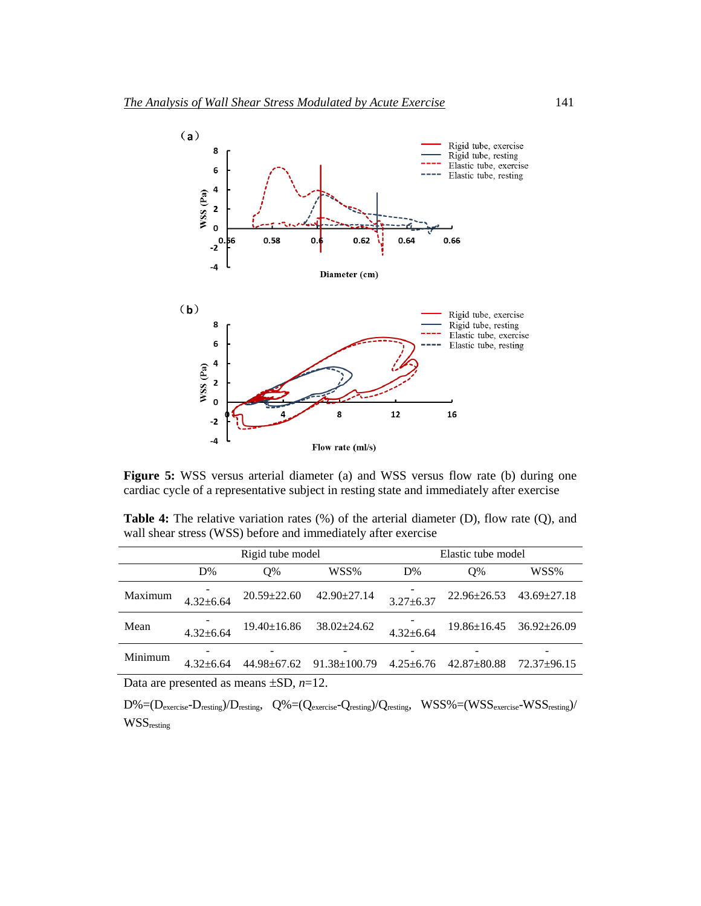

**Figure 5:** WSS versus arterial diameter (a) and WSS versus flow rate (b) during one cardiac cycle of a representative subject in resting state and immediately after exercise

Table 4: The relative variation rates (%) of the arterial diameter (D), flow rate (Q), and wall shear stress (WSS) before and immediately after exercise

|         | Rigid tube model |                   |                    | Elastic tube model |                   |                   |  |
|---------|------------------|-------------------|--------------------|--------------------|-------------------|-------------------|--|
|         | D%               | $O\%$             | WSS%               | D%                 | O%                | WSS%              |  |
| Maximum | $4.32 \pm 6.64$  | $20.59 + 22.60$   | $42.90 \pm 27.14$  | $3.27 \pm 6.37$    | $22.96 \pm 26.53$ | $43.69 \pm 27.18$ |  |
| Mean    | $4.32 + 6.64$    | $19.40 \pm 16.86$ | $38.02 \pm 24.62$  | $4.32 + 6.64$      | $19.86 \pm 16.45$ | $36.92 \pm 26.09$ |  |
| Minimum | $4.32 + 6.64$    | 44.98±67.62       | $91.38 \pm 100.79$ | $4.25 + 6.76$      | $42.87 + 80.88$   | $72.37+96.15$     |  |

Data are presented as means  $\pm SD$ ,  $n=12$ .

 $D\%=(D_{\text{exercise}}-D_{\text{resting}})/D_{\text{resting}}$ ,  $Q\%=(Q_{\text{exercise}}-Q_{\text{resting}})/Q_{\text{resting}}$ ,  $WSS\%=(WSS_{\text{exercise}}-WSS_{\text{resting}})/D_{\text{resting}}$ WSSresting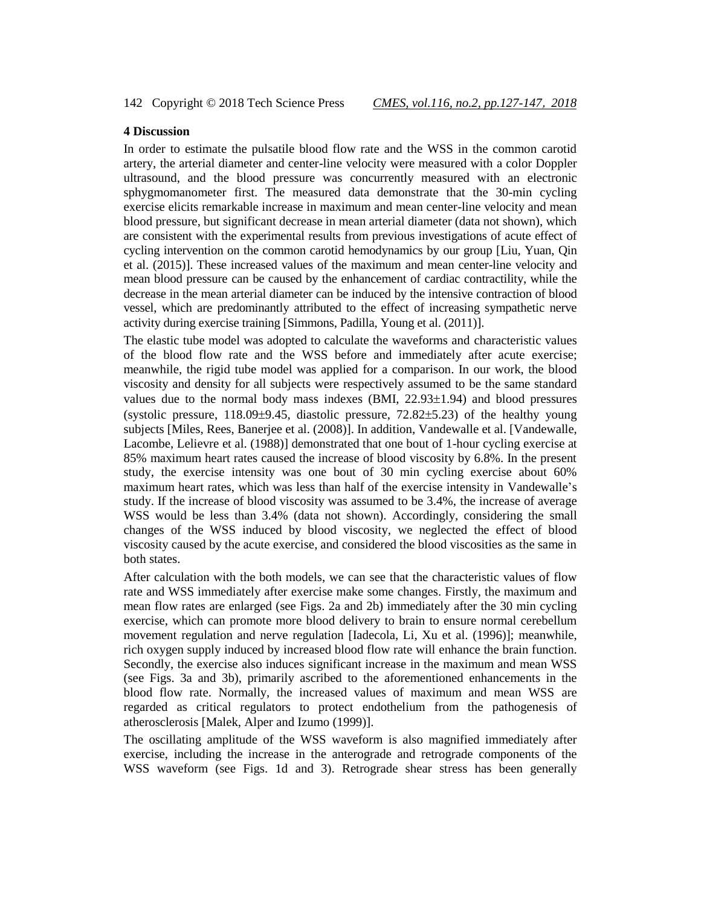# **4 Discussion**

In order to estimate the pulsatile blood flow rate and the WSS in the common carotid artery, the arterial diameter and center-line velocity were measured with a color Doppler ultrasound, and the blood pressure was concurrently measured with an electronic sphygmomanometer first. The measured data demonstrate that the 30-min cycling exercise elicits remarkable increase in maximum and mean center-line velocity and mean blood pressure, but significant decrease in mean arterial diameter (data not shown), which are consistent with the experimental results from previous investigations of acute effect of cycling intervention on the common carotid hemodynamics by our group [Liu, Yuan, Qin et al. (2015)]. These increased values of the maximum and mean center-line velocity and mean blood pressure can be caused by the enhancement of cardiac contractility, while the decrease in the mean arterial diameter can be induced by the intensive contraction of blood vessel, which are predominantly attributed to the effect of increasing sympathetic nerve activity during exercise training [Simmons, Padilla, Young et al. (2011)].

The elastic tube model was adopted to calculate the waveforms and characteristic values of the blood flow rate and the WSS before and immediately after acute exercise; meanwhile, the rigid tube model was applied for a comparison. In our work, the blood viscosity and density for all subjects were respectively assumed to be the same standard values due to the normal body mass indexes  $(BMI, 22.93\pm1.94)$  and blood pressures (systolic pressure,  $118.09\pm9.45$ , diastolic pressure,  $72.82\pm5.23$ ) of the healthy young subjects [Miles, Rees, Banerjee et al. (2008)]. In addition, Vandewalle et al. [Vandewalle, Lacombe, Lelievre et al. (1988)] demonstrated that one bout of 1-hour cycling exercise at 85% maximum heart rates caused the increase of blood viscosity by 6.8%. In the present study, the exercise intensity was one bout of 30 min cycling exercise about 60% maximum heart rates, which was less than half of the exercise intensity in Vandewalle's study. If the increase of blood viscosity was assumed to be 3.4%, the increase of average WSS would be less than 3.4% (data not shown). Accordingly, considering the small changes of the WSS induced by blood viscosity, we neglected the effect of blood viscosity caused by the acute exercise, and considered the blood viscosities as the same in both states.

After calculation with the both models, we can see that the characteristic values of flow rate and WSS immediately after exercise make some changes. Firstly, the maximum and mean flow rates are enlarged (see Figs. 2a and 2b) immediately after the 30 min cycling exercise, which can promote more blood delivery to brain to ensure normal cerebellum movement regulation and nerve regulation [Iadecola, Li, Xu et al. (1996)]; meanwhile, rich oxygen supply induced by increased blood flow rate will enhance the brain function. Secondly, the exercise also induces significant increase in the maximum and mean WSS (see Figs. 3a and 3b), primarily ascribed to the aforementioned enhancements in the blood flow rate. Normally, the increased values of maximum and mean WSS are regarded as critical regulators to protect endothelium from the pathogenesis of atherosclerosis [Malek, Alper and Izumo (1999)].

The oscillating amplitude of the WSS waveform is also magnified immediately after exercise, including the increase in the anterograde and retrograde components of the WSS waveform (see Figs. 1d and 3). Retrograde shear stress has been generally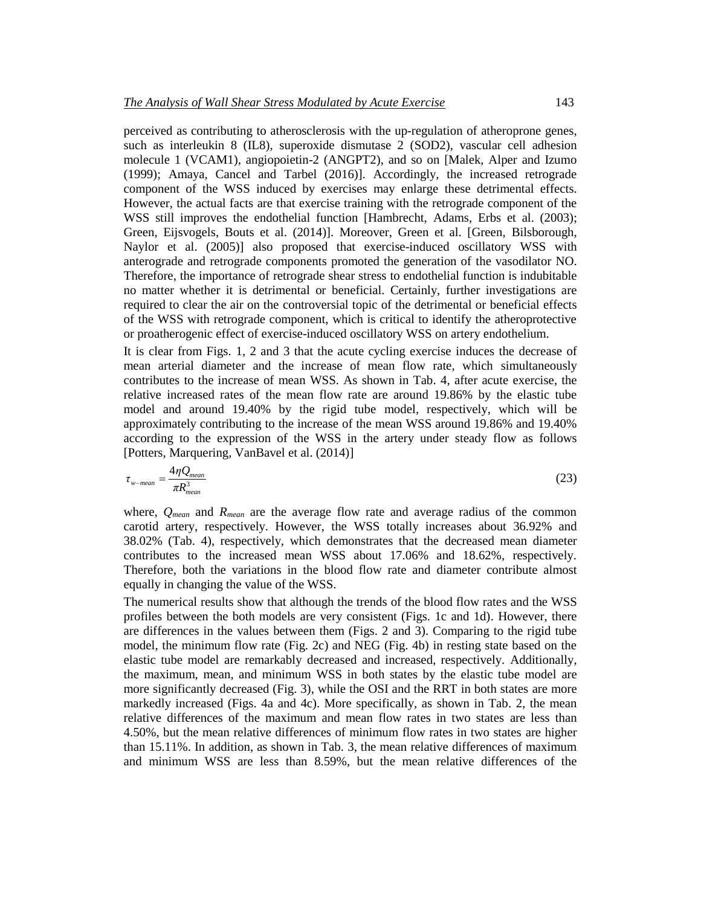perceived as contributing to atherosclerosis with the up-regulation of atheroprone genes, such as interleukin 8 (IL8), superoxide dismutase 2 (SOD2), vascular cell adhesion molecule 1 (VCAM1), angiopoietin-2 (ANGPT2), and so on [Malek, Alper and Izumo (1999); Amaya, Cancel and Tarbel (2016)]. Accordingly, the increased retrograde component of the WSS induced by exercises may enlarge these detrimental effects. However, the actual facts are that exercise training with the retrograde component of the WSS still improves the endothelial function [Hambrecht, Adams, Erbs et al. (2003); Green, Eijsvogels, Bouts et al. (2014)]. Moreover, Green et al. [Green, Bilsborough, Naylor et al. (2005)] also proposed that exercise-induced oscillatory WSS with anterograde and retrograde components promoted the generation of the vasodilator NO. Therefore, the importance of retrograde shear stress to endothelial function is indubitable no matter whether it is detrimental or beneficial. Certainly, further investigations are required to clear the air on the controversial topic of the detrimental or beneficial effects of the WSS with retrograde component, which is critical to identify the atheroprotective or proatherogenic effect of exercise-induced oscillatory WSS on artery endothelium.

It is clear from Figs. 1, 2 and 3 that the acute cycling exercise induces the decrease of mean arterial diameter and the increase of mean flow rate, which simultaneously contributes to the increase of mean WSS. As shown in Tab. 4, after acute exercise, the relative increased rates of the mean flow rate are around 19.86% by the elastic tube model and around 19.40% by the rigid tube model, respectively, which will be approximately contributing to the increase of the mean WSS around 19.86% and 19.40% according to the expression of the WSS in the artery under steady flow as follows [Potters, Marquering, VanBavel et al. (2014)]

$$
\tau_{w-mean} = \frac{4\eta Q_{mean}}{\pi R_{mean}^3} \tag{23}
$$

where, *Qmean* and *Rmean* are the average flow rate and average radius of the common carotid artery, respectively. However, the WSS totally increases about 36.92% and 38.02% (Tab. 4), respectively, which demonstrates that the decreased mean diameter contributes to the increased mean WSS about 17.06% and 18.62%, respectively. Therefore, both the variations in the blood flow rate and diameter contribute almost equally in changing the value of the WSS.

The numerical results show that although the trends of the blood flow rates and the WSS profiles between the both models are very consistent (Figs. 1c and 1d). However, there are differences in the values between them (Figs. 2 and 3). Comparing to the rigid tube model, the minimum flow rate (Fig. 2c) and NEG (Fig. 4b) in resting state based on the elastic tube model are remarkably decreased and increased, respectively. Additionally, the maximum, mean, and minimum WSS in both states by the elastic tube model are more significantly decreased (Fig. 3), while the OSI and the RRT in both states are more markedly increased (Figs. 4a and 4c). More specifically, as shown in Tab. 2, the mean relative differences of the maximum and mean flow rates in two states are less than 4.50%, but the mean relative differences of minimum flow rates in two states are higher than 15.11%. In addition, as shown in Tab. 3, the mean relative differences of maximum and minimum WSS are less than 8.59%, but the mean relative differences of the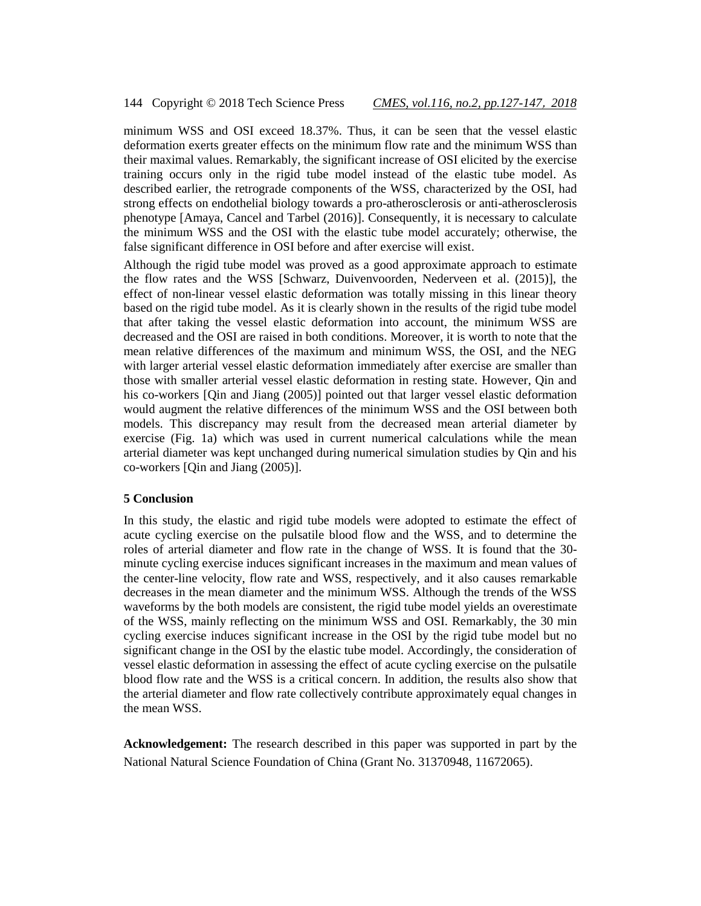### 144 Copyright © 2018 Tech Science Press *CMES, vol.116, no.2, pp.127-147*, *2018*

minimum WSS and OSI exceed 18.37%. Thus, it can be seen that the vessel elastic deformation exerts greater effects on the minimum flow rate and the minimum WSS than their maximal values. Remarkably, the significant increase of OSI elicited by the exercise training occurs only in the rigid tube model instead of the elastic tube model. As described earlier, the retrograde components of the WSS, characterized by the OSI, had strong effects on endothelial biology towards a pro-atherosclerosis or anti-atherosclerosis phenotype [Amaya, Cancel and Tarbel (2016)]. Consequently, it is necessary to calculate the minimum WSS and the OSI with the elastic tube model accurately; otherwise, the false significant difference in OSI before and after exercise will exist.

Although the rigid tube model was proved as a good approximate approach to estimate the flow rates and the WSS [Schwarz, Duivenvoorden, Nederveen et al. (2015)], the effect of non-linear vessel elastic deformation was totally missing in this linear theory based on the rigid tube model. As it is clearly shown in the results of the rigid tube model that after taking the vessel elastic deformation into account, the minimum WSS are decreased and the OSI are raised in both conditions. Moreover, it is worth to note that the mean relative differences of the maximum and minimum WSS, the OSI, and the NEG with larger arterial vessel elastic deformation immediately after exercise are smaller than those with smaller arterial vessel elastic deformation in resting state. However, Qin and his co-workers [Qin and Jiang (2005)] pointed out that larger vessel elastic deformation would augment the relative differences of the minimum WSS and the OSI between both models. This discrepancy may result from the decreased mean arterial diameter by exercise (Fig. 1a) which was used in current numerical calculations while the mean arterial diameter was kept unchanged during numerical simulation studies by Qin and his co-workers [Qin and Jiang (2005)].

# **5 Conclusion**

In this study, the elastic and rigid tube models were adopted to estimate the effect of acute cycling exercise on the pulsatile blood flow and the WSS, and to determine the roles of arterial diameter and flow rate in the change of WSS. It is found that the 30 minute cycling exercise induces significant increases in the maximum and mean values of the center-line velocity, flow rate and WSS, respectively, and it also causes remarkable decreases in the mean diameter and the minimum WSS. Although the trends of the WSS waveforms by the both models are consistent, the rigid tube model yields an overestimate of the WSS, mainly reflecting on the minimum WSS and OSI. Remarkably, the 30 min cycling exercise induces significant increase in the OSI by the rigid tube model but no significant change in the OSI by the elastic tube model. Accordingly, the consideration of vessel elastic deformation in assessing the effect of acute cycling exercise on the pulsatile blood flow rate and the WSS is a critical concern. In addition, the results also show that the arterial diameter and flow rate collectively contribute approximately equal changes in the mean WSS.

**Acknowledgement:** The research described in this paper was supported in part by the National Natural Science Foundation of China (Grant No. 31370948, 11672065).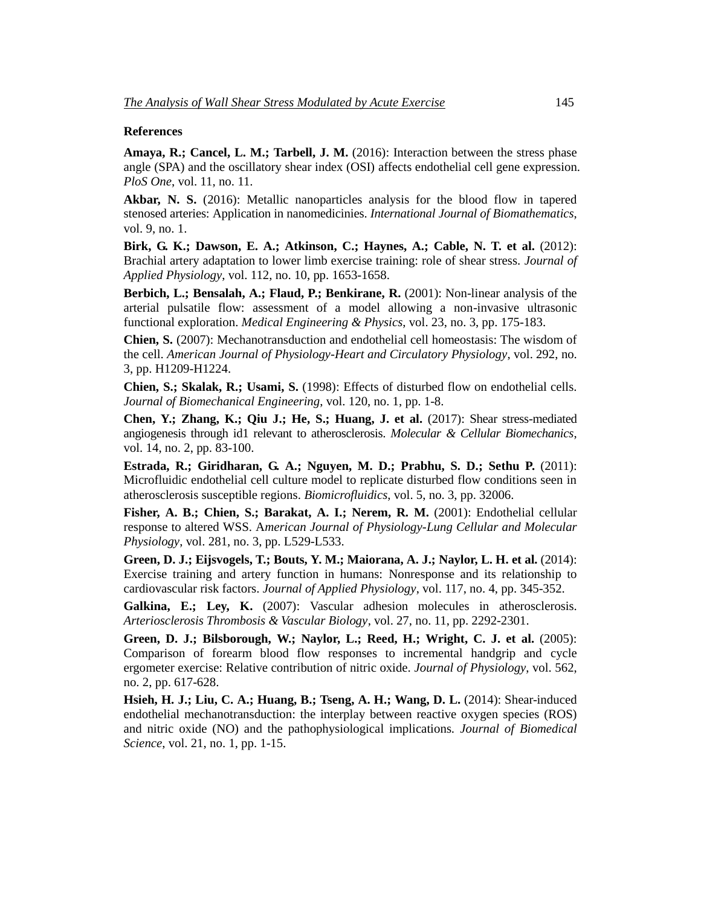#### **References**

**Amaya, R.; Cancel, L. M.; Tarbell, J. M.** (2016): Interaction between the stress phase angle (SPA) and the oscillatory shear index (OSI) affects endothelial cell gene expression. *PloS One*, vol. 11, no. 11.

**Akbar, N. S.** (2016): Metallic nanoparticles analysis for the blood flow in tapered stenosed arteries: Application in nanomedicinies. *International Journal of Biomathematics*, vol. 9, no. 1.

**Birk, G. K.; Dawson, E. A.; Atkinson, C.; Haynes, A.; Cable, N. T. et al.** (2012): Brachial artery adaptation to lower limb exercise training: role of shear stress. *Journal of Applied Physiology*, vol. 112, no. 10, pp. 1653-1658.

**Berbich, L.; Bensalah, A.; Flaud, P.; Benkirane, R.** (2001): Non-linear analysis of the arterial pulsatile flow: assessment of a model allowing a non-invasive ultrasonic functional exploration. *Medical Engineering & Physics*, vol. 23, no. 3, pp. 175-183.

**Chien, S.** (2007): Mechanotransduction and endothelial cell homeostasis: The wisdom of the cell. *American Journal of Physiology-Heart and Circulatory Physiology*, vol. 292, no. 3, pp. H1209-H1224.

**Chien, S.; Skalak, R.; Usami, S.** (1998): Effects of disturbed flow on endothelial cells. *Journal of Biomechanical Engineering*, vol. 120, no. 1, pp. 1-8.

**Chen, Y.; Zhang, K.; Qiu J.; He, S.; Huang, J. et al.** (2017): Shear stress-mediated angiogenesis through id1 relevant to atherosclerosis. *Molecular & Cellular Biomechanics*, vol. 14, no. 2, pp. 83-100.

**Estrada, R.; Giridharan, G. A.; Nguyen, M. D.; Prabhu, S. D.; Sethu P.** (2011): Microfluidic endothelial cell culture model to replicate disturbed flow conditions seen in atherosclerosis susceptible regions. *Biomicrofluidics*, vol. 5, no. 3, pp. 32006.

**Fisher, A. B.; Chien, S.; Barakat, A. I.; Nerem, R. M.** (2001): Endothelial cellular response to altered WSS. A*merican Journal of Physiology-Lung Cellular and Molecular Physiology*, vol. 281, no. 3, pp. L529-L533.

**Green, D. J.; Eijsvogels, T.; Bouts, Y. M.; Maiorana, A. J.; Naylor, L. H. et al.** (2014): Exercise training and artery function in humans: Nonresponse and its relationship to cardiovascular risk factors. *Journal of Applied Physiology*, vol. 117, no. 4, pp. 345-352.

**Galkina, E.; Ley, K.** (2007): Vascular adhesion molecules in atherosclerosis. *Arteriosclerosis Thrombosis & Vascular Biology*, vol. 27, no. 11, pp. 2292-2301.

**Green, D. J.; Bilsborough, W.; Naylor, L.; Reed, H.; Wright, C. J. et al.** (2005): Comparison of forearm blood flow responses to incremental handgrip and cycle ergometer exercise: Relative contribution of nitric oxide. *Journal of Physiology*, vol. 562, no. 2, pp. 617-628.

**Hsieh, H. J.; Liu, C. A.; Huang, B.; Tseng, A. H.; Wang, D. L.** (2014): Shear-induced endothelial mechanotransduction: the interplay between reactive oxygen species (ROS) and nitric oxide (NO) and the pathophysiological implications. *Journal of Biomedical Science*, vol. 21, no. 1, pp. 1-15.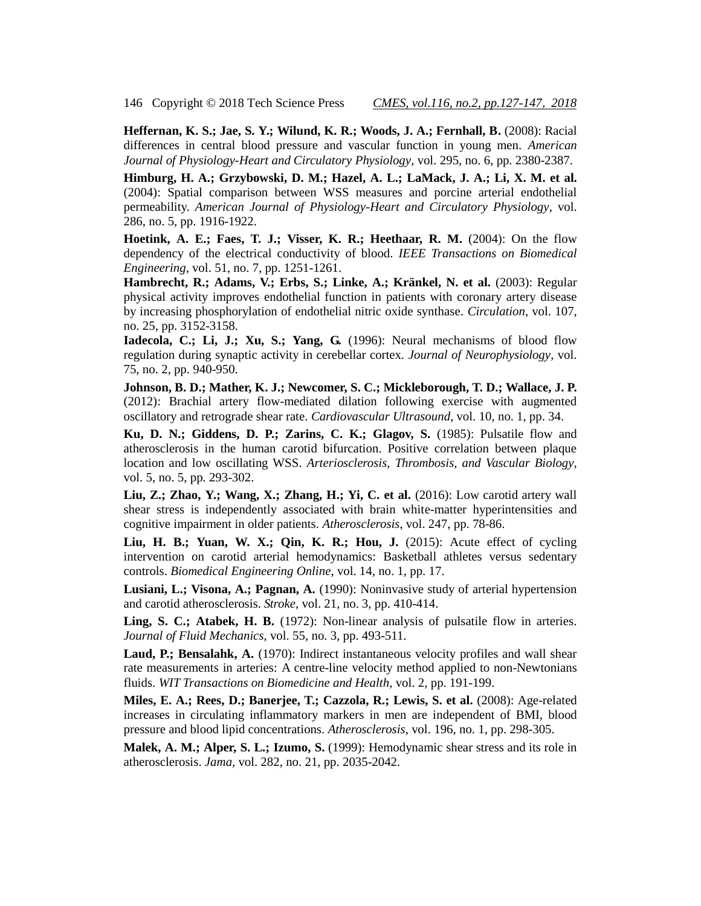146 Copyright © 2018 Tech Science Press *CMES, vol.116, no.2, pp.127-147*, *2018*

**Heffernan, K. S.; Jae, S. Y.; Wilund, K. R.; Woods, J. A.; Fernhall, B.** (2008): Racial differences in central blood pressure and vascular function in young men. *American Journal of Physiology-Heart and Circulatory Physiology*, vol. 295, no. 6, pp. 2380-2387.

**Himburg, H. A.; Grzybowski, D. M.; Hazel, A. L.; LaMack, J. A.; Li, X. M. et al.**  (2004): Spatial comparison between WSS measures and porcine arterial endothelial permeability. *American Journal of Physiology-Heart and Circulatory Physiology*, vol. 286, no. 5, pp. 1916-1922.

**Hoetink, A. E.; Faes, T. J.; Visser, K. R.; Heethaar, R. M.** (2004): On the flow dependency of the electrical conductivity of blood. *IEEE Transactions on Biomedical Engineering*, vol. 51, no. 7, pp. 1251-1261.

**Hambrecht, R.; Adams, V.; Erbs, S.; Linke, A.; Kränkel, N. et al.** (2003): Regular physical activity improves endothelial function in patients with coronary artery disease by increasing phosphorylation of endothelial nitric oxide synthase. *Circulation*, vol. 107, no. 25, pp. 3152-3158.

**Iadecola, C.; Li, J.; Xu, S.; Yang, G.** (1996): Neural mechanisms of blood flow regulation during synaptic activity in cerebellar cortex. *Journal of Neurophysiology*, vol. 75, no. 2, pp. 940-950.

**Johnson, B. D.; Mather, K. J.; Newcomer, S. C.; Mickleborough, T. D.; Wallace, J. P.**  (2012): Brachial artery flow-mediated dilation following exercise with augmented oscillatory and retrograde shear rate. *Cardiovascular Ultrasound*, vol. 10, no. 1, pp. 34.

**Ku, D. N.; Giddens, D. P.; Zarins, C. K.; Glagov, S.** (1985): Pulsatile flow and atherosclerosis in the human carotid bifurcation. Positive correlation between plaque location and low oscillating WSS. *Arteriosclerosis, Thrombosis, and Vascular Biology*, vol. 5, no. 5, pp. 293-302.

**Liu, Z.; Zhao, Y.; Wang, X.; Zhang, H.; Yi, C. et al.** (2016): Low carotid artery wall shear stress is independently associated with brain white-matter hyperintensities and cognitive impairment in older patients. *Atherosclerosis*, vol. 247, pp. 78-86.

**Liu, H. B.; Yuan, W. X.; Qin, K. R.; Hou, J.** (2015): Acute effect of cycling intervention on carotid arterial hemodynamics: Basketball athletes versus sedentary controls. *Biomedical Engineering Online*, vol. 14, no. 1, pp. 17.

**Lusiani, L.; Visona, A.; Pagnan, A.** (1990): Noninvasive study of arterial hypertension and carotid atherosclerosis. *Stroke*, vol. 21, no. 3, pp. 410-414.

**Ling, S. C.; Atabek, H. B.** (1972): Non-linear analysis of pulsatile flow in arteries. *Journal of Fluid Mechanics*, vol. 55, no. 3, pp. 493-511.

**Laud, P.; Bensalahk, A.** (1970): Indirect instantaneous velocity profiles and wall shear rate measurements in arteries: A centre-line velocity method applied to non-Newtonians fluids. *WIT Transactions on Biomedicine and Health*, vol. 2, pp. 191-199.

**Miles, E. A.; Rees, D.; Banerjee, T.; Cazzola, R.; Lewis, S. et al.** (2008): Age-related increases in circulating inflammatory markers in men are independent of BMI, blood pressure and blood lipid concentrations. *Atherosclerosis*, vol. 196, no. 1, pp. 298-305.

**Malek, A. M.; Alper, S. L.; Izumo, S.** (1999): Hemodynamic shear stress and its role in atherosclerosis. *Jama*, vol. 282, no. 21, pp. 2035-2042.